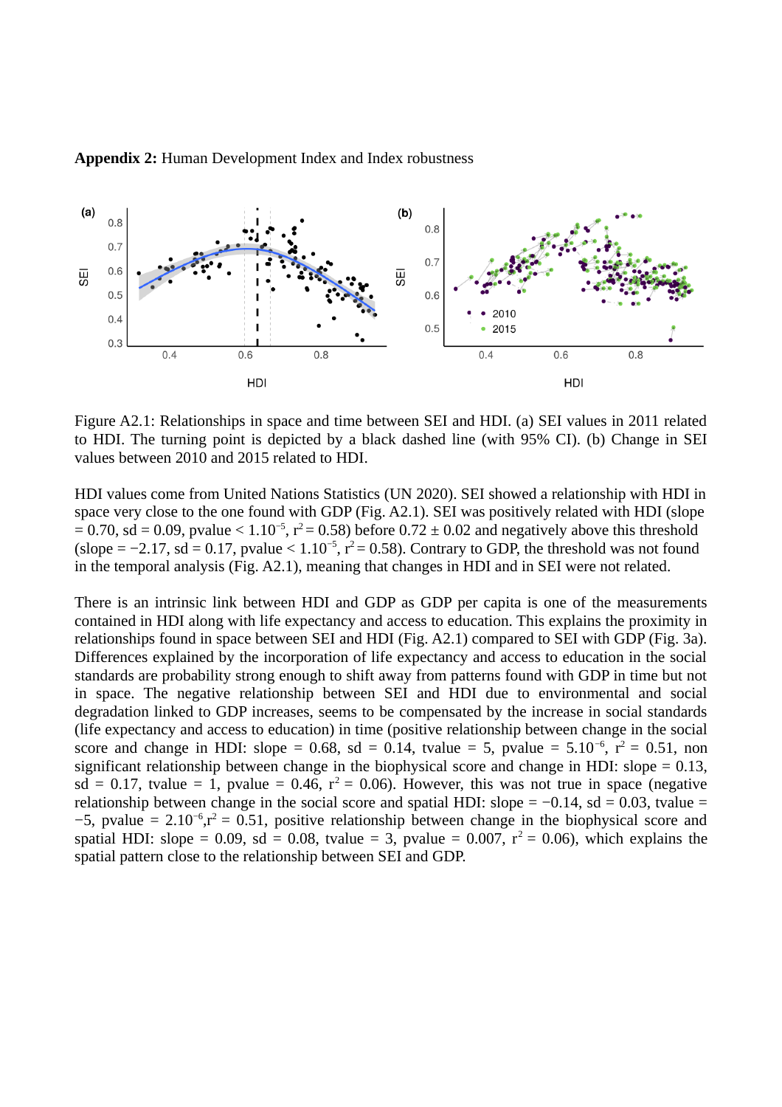

**Appendix 2:** Human Development Index and Index robustness

Figure A2.1: Relationships in space and time between SEI and HDI. (a) SEI values in 2011 related to HDI. The turning point is depicted by a black dashed line (with 95% CI). (b) Change in SEI values between 2010 and 2015 related to HDI.

HDI values come from United Nations Statistics (UN 2020). SEI showed a relationship with HDI in space very close to the one found with GDP (Fig. A2.1). SEI was positively related with HDI (slope  $= 0.70$ , sd = 0.09, pvalue  $\le 1.10^{-5}$ ,  $r^2 = 0.58$ ) before 0.72 ± 0.02 and negatively above this threshold (slope =  $-2.17$ , sd = 0.17, pvalue <  $1.10^{-5}$ ,  $r^2$  = 0.58). Contrary to GDP, the threshold was not found in the temporal analysis (Fig. A2.1), meaning that changes in HDI and in SEI were not related.

There is an intrinsic link between HDI and GDP as GDP per capita is one of the measurements contained in HDI along with life expectancy and access to education. This explains the proximity in relationships found in space between SEI and HDI (Fig. A2.1) compared to SEI with GDP (Fig. 3a). Differences explained by the incorporation of life expectancy and access to education in the social standards are probability strong enough to shift away from patterns found with GDP in time but not in space. The negative relationship between SEI and HDI due to environmental and social degradation linked to GDP increases, seems to be compensated by the increase in social standards (life expectancy and access to education) in time (positive relationship between change in the social score and change in HDI: slope = 0.68, sd = 0.14, tvalue = 5, pvalue =  $5.10^{-6}$ ,  $r^2 = 0.51$ , non significant relationship between change in the biophysical score and change in HDI: slope = 0.13,  $sd = 0.17$ , tvalue = 1, pvalue = 0.46,  $r^2 = 0.06$ ). However, this was not true in space (negative relationship between change in the social score and spatial HDI: slope =  $-0.14$ , sd = 0.03, tvalue =  $-5$ , pvalue = 2.10<sup>-6</sup>,r<sup>2</sup> = 0.51, positive relationship between change in the biophysical score and spatial HDI: slope = 0.09, sd = 0.08, tvalue = 3, pvalue = 0.007,  $r^2$  = 0.06), which explains the spatial pattern close to the relationship between SEI and GDP.